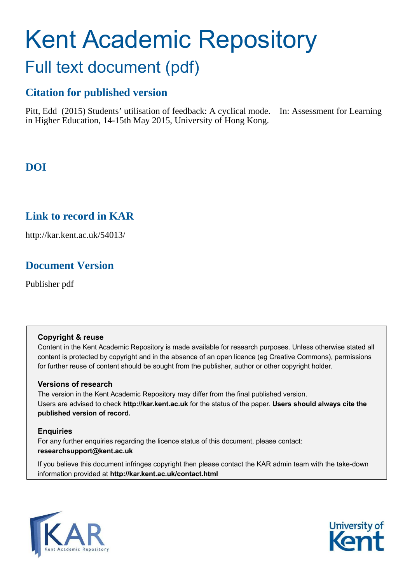# Kent Academic Repository Full text document (pdf)

### **Citation for published version**

Pitt, Edd (2015) Students' utilisation of feedback: A cyclical mode. In: Assessment for Learning in Higher Education, 14-15th May 2015, University of Hong Kong.

### **DOI**

### **Link to record in KAR**

http://kar.kent.ac.uk/54013/

### **Document Version**

Publisher pdf

#### **Copyright & reuse**

Content in the Kent Academic Repository is made available for research purposes. Unless otherwise stated all content is protected by copyright and in the absence of an open licence (eg Creative Commons), permissions for further reuse of content should be sought from the publisher, author or other copyright holder.

#### **Versions of research**

The version in the Kent Academic Repository may differ from the final published version. Users are advised to check **http://kar.kent.ac.uk** for the status of the paper. **Users should always cite the published version of record.**

#### **Enquiries**

For any further enquiries regarding the licence status of this document, please contact: **researchsupport@kent.ac.uk**

If you believe this document infringes copyright then please contact the KAR admin team with the take-down information provided at **http://kar.kent.ac.uk/contact.html**



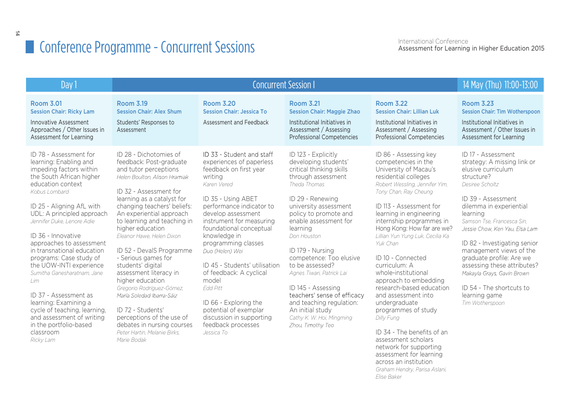| Day 1                                                                                                                                                                                                                                                                                                                                                                                                                                                                                                                                                                                 | <b>Concurrent Session I</b>                                                                                                                                                                                                                                                                                                                                                                                                                                                                                                                                                                                                   |                                                                                                                                                                                                                                                                                                                                                                                                                                                                                                              |                                                                                                                                                                                                                                                                                                                                                                                                                                                                                               |                                                                                                                                                                                                                                                                                                                                                                                                                                                                                                                                                                                                                                                                                             | 14 May (Thu) 11:00-13:00                                                                                                                                                                                                                                                                                                                                                                                                                                  |
|---------------------------------------------------------------------------------------------------------------------------------------------------------------------------------------------------------------------------------------------------------------------------------------------------------------------------------------------------------------------------------------------------------------------------------------------------------------------------------------------------------------------------------------------------------------------------------------|-------------------------------------------------------------------------------------------------------------------------------------------------------------------------------------------------------------------------------------------------------------------------------------------------------------------------------------------------------------------------------------------------------------------------------------------------------------------------------------------------------------------------------------------------------------------------------------------------------------------------------|--------------------------------------------------------------------------------------------------------------------------------------------------------------------------------------------------------------------------------------------------------------------------------------------------------------------------------------------------------------------------------------------------------------------------------------------------------------------------------------------------------------|-----------------------------------------------------------------------------------------------------------------------------------------------------------------------------------------------------------------------------------------------------------------------------------------------------------------------------------------------------------------------------------------------------------------------------------------------------------------------------------------------|---------------------------------------------------------------------------------------------------------------------------------------------------------------------------------------------------------------------------------------------------------------------------------------------------------------------------------------------------------------------------------------------------------------------------------------------------------------------------------------------------------------------------------------------------------------------------------------------------------------------------------------------------------------------------------------------|-----------------------------------------------------------------------------------------------------------------------------------------------------------------------------------------------------------------------------------------------------------------------------------------------------------------------------------------------------------------------------------------------------------------------------------------------------------|
| <b>Room 3.01</b><br><b>Session Chair: Ricky Lam</b><br><b>Innovative Assessment</b><br>Approaches / Other Issues in<br>Assessment for Learning                                                                                                                                                                                                                                                                                                                                                                                                                                        | <b>Room 3.19</b><br><b>Session Chair: Alex Shum</b><br>Students' Responses to<br>Assessment                                                                                                                                                                                                                                                                                                                                                                                                                                                                                                                                   | <b>Room 3.20</b><br><b>Session Chair: Jessica To</b><br>Assessment and Feedback                                                                                                                                                                                                                                                                                                                                                                                                                              | <b>Room 3.21</b><br><b>Session Chair: Maggie Zhao</b><br>Institutional Initiatives in<br>Assessment / Assessing<br><b>Professional Competencies</b>                                                                                                                                                                                                                                                                                                                                           | <b>Room 3.22</b><br><b>Session Chair: Lillian Luk</b><br>Institutional Initiatives in<br>Assessment / Assessing<br><b>Professional Competencies</b>                                                                                                                                                                                                                                                                                                                                                                                                                                                                                                                                         | <b>Room 3.23</b><br><b>Session Chair: Tim Wotherspoon</b><br>Institutional Initiatives in<br>Assessment / Other Issues in<br>Assessment for Learning                                                                                                                                                                                                                                                                                                      |
| ID 78 - Assessment for<br>learning: Enabling and<br>impeding factors within<br>the South African higher<br>education context<br>Kobus Lombard<br>ID 25 - Aligning AfL with<br>UDL: A principled approach<br>Jennifer Duke, Lenore Adie<br>ID 36 - Innovative<br>approaches to assessment<br>in transnational education<br>programs: Case study of<br>the UOW-INTI experience<br>Sumitha Ganesharatnam, Jane<br>lim<br>ID 37 - Assessment as<br>learning: Examining a<br>cycle of teaching, learning,<br>and assessment of writing<br>in the portfolio-based<br>classroom<br>Ricky Lam | ID 28 - Dichotomies of<br>feedback: Post-graduate<br>and tutor perceptions<br>Helen Boulton, Alison Hramiak<br>ID 32 - Assessment for<br>learning as a catalyst for<br>changing teachers' beliefs:<br>An experiential approach<br>to learning and teaching in<br>higher education<br>Eleanor Hawe, Helen Dixon<br>ID 52 - DevalS Programme<br>- Serious games for<br>students' digital<br>assessment literacy in<br>higher education<br>Gregorio Rodríguez-Gómez,<br>María Soledad Ibarra-Sáiz<br>ID 72 - Students'<br>perceptions of the use of<br>debates in nursing courses<br>Peter Hartin, Melanie Birks.<br>Marie Bodak | ID 33 - Student and staff<br>experiences of paperless<br>feedback on first year<br>writing<br>Karen Vered<br>ID 35 - Using ABET<br>performance indicator to<br>develop assessment<br>instrument for measuring<br>foundational conceptual<br>knowledge in<br>programming classes<br>Duo (Helen) Wei<br>ID 45 - Students' utilisation<br>of feedback: A cyclical<br>model<br><b>Edd Pitt</b><br>ID 66 - Exploring the<br>potential of exemplar<br>discussion in supporting<br>feedback processes<br>Jessica To | ID 123 - Explicitly<br>developing students'<br>critical thinking skills<br>through assessment<br>Theda Thomas<br>ID 29 - Renewing<br>university assessment<br>policy to promote and<br>enable assessment for<br>learning<br>Don Houston<br>ID 179 - Nursing<br>competence: Too elusive<br>to be assessed?<br>Agnes Tiwari, Patrick Lai<br>ID 145 - Assessing<br>teachers' sense of efficacy<br>and teaching regulation:<br>An initial study<br>Cathy K. W. Hoi, Mingming<br>Zhou, Timothy Teo | ID 86 - Assessing key<br>competencies in the<br>University of Macau's<br>residential colleges<br>Robert Wessling, Jennifer Yim,<br>Tony Chan, Ray Cheung<br>ID 113 - Assessment for<br>learning in engineering<br>internship programmes in<br>Hong Kong: How far are we?<br>Lillian Yun Yung Luk, Cecilia Ka<br>Yuk Chan<br>ID 10 - Connected<br>curriculum: A<br>whole-institutional<br>approach to embedding<br>research-based education<br>and assessment into<br>undergraduate<br>programmes of study<br>Dilly Fung<br>ID 34 - The benefits of an<br>assessment scholars<br>network for supporting<br>assessment for learning<br>across an institution<br>Graham Hendry, Parisa Aslani, | ID 17 - Assessment<br>strategy: A missing link or<br>elusive curriculum<br>structure?<br>Desiree Scholtz<br>ID 39 - Assessment<br>dilemma in experiential<br>learning<br>Samson Tse, Francesca Sin,<br>Jessie Chow, Ken Yau, Elsa Lam<br>ID 82 - Investigating senior<br>management views of the<br>graduate profile: Are we<br>assessing these attributes?<br>Makavla Gravs, Gavin Brown<br>ID 54 - The shortcuts to<br>learning game<br>Tim Wotherspoon |

*Elise Baker*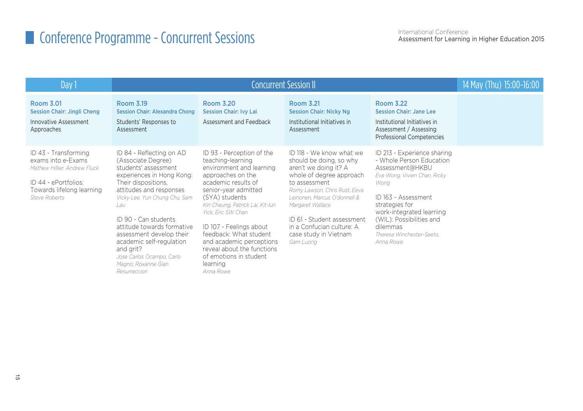| Day 1                                                                                                                                                   |                                                                                                                                                                                                                                                                                                                                                                                              | 14 May (Thu) 15:00-16:00                                                                                                                                                                                                                                                                                                                                                                     |                                                                                                                                                                                                                                                                                                                 |                                                                                                                                                                                                                                                                           |  |
|---------------------------------------------------------------------------------------------------------------------------------------------------------|----------------------------------------------------------------------------------------------------------------------------------------------------------------------------------------------------------------------------------------------------------------------------------------------------------------------------------------------------------------------------------------------|----------------------------------------------------------------------------------------------------------------------------------------------------------------------------------------------------------------------------------------------------------------------------------------------------------------------------------------------------------------------------------------------|-----------------------------------------------------------------------------------------------------------------------------------------------------------------------------------------------------------------------------------------------------------------------------------------------------------------|---------------------------------------------------------------------------------------------------------------------------------------------------------------------------------------------------------------------------------------------------------------------------|--|
| Room 3.01<br><b>Session Chair: Jingli Cheng</b><br>Innovative Assessment<br>Approaches                                                                  | Room 3.19<br><b>Session Chair: Alexandra Chong</b><br>Students' Responses to<br>Assessment                                                                                                                                                                                                                                                                                                   | Room 3.20<br><b>Session Chair: Ivy Lai</b><br>Assessment and Feedback                                                                                                                                                                                                                                                                                                                        | Room 3.21<br><b>Session Chair: Nicky Ng</b><br>Institutional Initiatives in<br>Assessment                                                                                                                                                                                                                       | Room 3.22<br><b>Session Chair: Jane Lee</b><br>Institutional Initiatives in<br>Assessment / Assessing<br>Professional Competencies                                                                                                                                        |  |
| ID 43 - Transforming<br>exams into e-Exams<br>Mathew Hillier, Andrew Fluck<br>ID 44 - ePortfolios:<br>Towards lifelong learning<br><b>Steve Roberts</b> | ID 84 - Reflecting on AD<br>(Associate Degree)<br>students' assessment<br>experiences in Hong Kong:<br>Their dispositions,<br>attitudes and responses<br>Vicky Lee, Yun Chung Chu, Sam<br>Lau<br>ID 90 - Can students<br>attitude towards formative<br>assessment develop their<br>academic self-regulation<br>and grit?<br>Jose Carlos Ocampo, Carlo<br>Magno, Roxanne Gian<br>Resurreccion | ID 93 - Perception of the<br>teaching-learning<br>environment and learning<br>approaches on the<br>academic results of<br>senior-year admitted<br>(SYA) students<br>Kin Cheung, Patrick Lai, Kit-lun<br>Yick. Eric SW Chan<br>ID 107 - Feelings about<br>feedback: What student<br>and academic perceptions<br>reveal about the functions<br>of emotions in student<br>learning<br>Anna Rowe | ID 118 - We know what we<br>should be doing, so why<br>aren't we doing it? A<br>whole of degree approach<br>to assessment<br>Romy Lawson, Chris Rust, Eeva<br>Leinonen, Marcus O'donnell &<br>Margaret Wallace<br>ID 61 - Student assessment<br>in a Confucian culture: A<br>case study in Vietnam<br>Gam Luong | ID 213 - Experience sharing<br>- Whole Person Education<br>Assessment@HKBU<br>Eva Wong, Vivien Chan, Ricky<br>Wong<br>ID 163 - Assessment<br>strategies for<br>work-integrated learning<br>(WIL): Possibilities and<br>dilemmas<br>Theresa Winchester-Seeto.<br>Anna Rowe |  |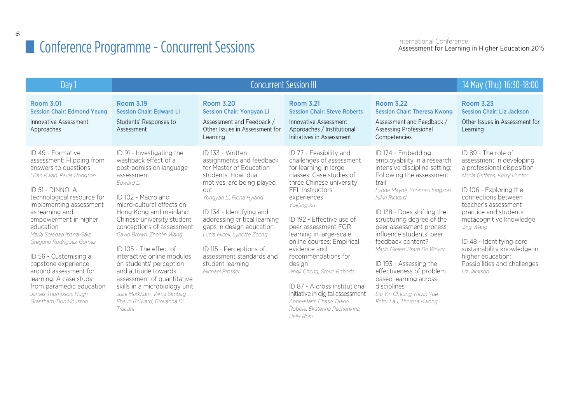| Day 1                                                                                                                                                                                                                                                                                                                                                                                                                                                                                |                                                                                                                                                                                                                                                                                                                                                                                                                                                                                                                                 | 14 May (Thu) 16:30-18:00                                                                                                                                                                                                                                                                                                                                                            |                                                                                                                                                                                                                                                                                                                                                                                                                                                                                                                                         |                                                                                                                                                                                                                                                                                                                                                                                                                                                                                                        |                                                                                                                                                                                                                                                                                                                                                                                          |
|--------------------------------------------------------------------------------------------------------------------------------------------------------------------------------------------------------------------------------------------------------------------------------------------------------------------------------------------------------------------------------------------------------------------------------------------------------------------------------------|---------------------------------------------------------------------------------------------------------------------------------------------------------------------------------------------------------------------------------------------------------------------------------------------------------------------------------------------------------------------------------------------------------------------------------------------------------------------------------------------------------------------------------|-------------------------------------------------------------------------------------------------------------------------------------------------------------------------------------------------------------------------------------------------------------------------------------------------------------------------------------------------------------------------------------|-----------------------------------------------------------------------------------------------------------------------------------------------------------------------------------------------------------------------------------------------------------------------------------------------------------------------------------------------------------------------------------------------------------------------------------------------------------------------------------------------------------------------------------------|--------------------------------------------------------------------------------------------------------------------------------------------------------------------------------------------------------------------------------------------------------------------------------------------------------------------------------------------------------------------------------------------------------------------------------------------------------------------------------------------------------|------------------------------------------------------------------------------------------------------------------------------------------------------------------------------------------------------------------------------------------------------------------------------------------------------------------------------------------------------------------------------------------|
| <b>Room 3.01</b><br><b>Session Chair: Edmond Yeung</b><br><b>Innovative Assessment</b><br>Approaches                                                                                                                                                                                                                                                                                                                                                                                 | <b>Room 3.19</b><br><b>Session Chair: Edward Li</b><br>Students' Responses to<br>Assessment                                                                                                                                                                                                                                                                                                                                                                                                                                     | <b>Room 3.20</b><br><b>Session Chair: Yongyan Li</b><br>Assessment and Feedback /<br>Other Issues in Assessment for<br>Learning                                                                                                                                                                                                                                                     | <b>Room 3.21</b><br><b>Session Chair: Steve Roberts</b><br><b>Innovative Assessment</b><br>Approaches / Institutional<br>Initiatives in Assessment                                                                                                                                                                                                                                                                                                                                                                                      | <b>Room 3.22</b><br><b>Session Chair: Theresa Kwong</b><br>Assessment and Feedback /<br><b>Assessing Professional</b><br>Competencies                                                                                                                                                                                                                                                                                                                                                                  | <b>Room 3.23</b><br><b>Session Chair: Liz Jackson</b><br>Other Issues in Assessment for<br>Learning                                                                                                                                                                                                                                                                                      |
| ID 49 - Formative<br>assessment: Flipping from<br>answers to questions<br>Lilian Kwan, Paula Hodgson<br>ID 51 - DINNO: A<br>technological resource for<br>implementing assessment<br>as learning and<br>empowerment in higher<br>education<br>María Soledad Ibarra-Sáiz.<br>Gregorio Rodríguez-Gómez<br>ID 56 - Customising a<br>capstone experience<br>around assessment for<br>learning: A case study<br>from paramedic education<br>James Thompson, Hugh<br>Grantham. Don Houston | ID 91 - Investigating the<br>washback effect of a<br>post-admission language<br>assessment<br>Edward Li<br>ID 102 - Macro and<br>micro-cultural effects on<br>Hong Kong and mainland<br>Chinese university student<br>conceptions of assessment<br>Gavin Brown, Zhenlin Wang<br>ID 105 - The effect of<br>interactive online modules<br>on students' perception<br>and attitude towards<br>assessment of quantitative<br>skills in a microbiology unit<br>Julie Markham, Vilma Simbag,<br>Shaun Belward, Giovanna Di<br>Trapani | ID 133 - Written<br>assignments and feedback<br>for Master of Education<br>students: How 'dual<br>motives' are being played<br>out<br>Yongyan Li, Fiona Hyland<br>ID 134 - Identifying and<br>addressing critical learning<br>gaps in design education<br>Lucia Miceli, Lynette Zeeng<br>ID 115 - Perceptions of<br>assessment standards and<br>student learning<br>Michael Prosser | ID 77 - Feasibility and<br>challenges of assessment<br>for learning in large<br>classes: Case studies of<br>three Chinese university<br>EFL instructors'<br>experiences<br>Yueting Xu<br>ID 192 - Effective use of<br>peer assessment FOR<br>learning in large-scale<br>online courses: Empirical<br>evidence and<br>recommendations for<br>desian<br>Jingli Cheng, Steve Roberts<br>ID 87 - A cross institutional<br>initiative in digital assessment<br>Anne-Marie Chase, Diane<br>Robbie, Ekaterina Pechenkina.<br><b>Bella Ross</b> | ID 174 - Embedding<br>employability in a research<br>intensive discipline setting:<br>Following the assessment<br>trail<br>Lynne Mayne, Yvonne Hodgson,<br>Nikki Rickard<br>ID 138 - Does shifting the<br>structuring degree of the<br>peer assessment process<br>influence students' peer<br>feedback content?<br>Mario Gielen, Bram De Wever<br>ID 193 - Assessing the<br>effectiveness of problem<br>based learning across<br>disciplines<br>Siu Yin Cheung, Kevin Yue,<br>Peter Lau, Theresa Kwong | ID 89 - The role of<br>assessment in developing<br>a professional disposition<br>Neela Griffiths, Kerry Hunter<br>ID 106 - Exploring the<br>connections between<br>teacher's assessment<br>practice and students'<br>metacognitive knowledge<br>Jing Wang<br>ID 48 - Identifying core<br>sustainability knowledge in<br>higher education:<br>Possibilities and challenges<br>Liz Jackson |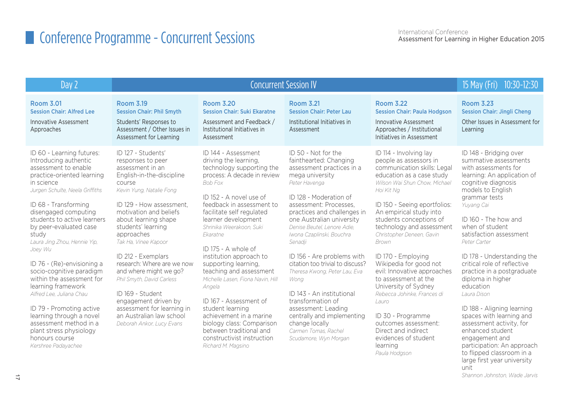| $\log$                                                                                                                                                                                                                                                                                                                                                                                                                                                                                                                                                                                                                |                                                                                                                                                                                                                                                                                                                                                                                                                                                                                                                        | 15 May (Fri) 10:30-12:30                                                                                                                                                                                                                                                                                                                                                                                                                                                                                                                                                                                                |                                                                                                                                                                                                                                                                                                                                                                                                                                                                                                                                                                                            |                                                                                                                                                                                                                                                                                                                                                                                                                                                                                                                                                                                                                       |                                                                                                                                                                                                                                                                                                                                                                                                                                                                                                                                                                                                                                                   |
|-----------------------------------------------------------------------------------------------------------------------------------------------------------------------------------------------------------------------------------------------------------------------------------------------------------------------------------------------------------------------------------------------------------------------------------------------------------------------------------------------------------------------------------------------------------------------------------------------------------------------|------------------------------------------------------------------------------------------------------------------------------------------------------------------------------------------------------------------------------------------------------------------------------------------------------------------------------------------------------------------------------------------------------------------------------------------------------------------------------------------------------------------------|-------------------------------------------------------------------------------------------------------------------------------------------------------------------------------------------------------------------------------------------------------------------------------------------------------------------------------------------------------------------------------------------------------------------------------------------------------------------------------------------------------------------------------------------------------------------------------------------------------------------------|--------------------------------------------------------------------------------------------------------------------------------------------------------------------------------------------------------------------------------------------------------------------------------------------------------------------------------------------------------------------------------------------------------------------------------------------------------------------------------------------------------------------------------------------------------------------------------------------|-----------------------------------------------------------------------------------------------------------------------------------------------------------------------------------------------------------------------------------------------------------------------------------------------------------------------------------------------------------------------------------------------------------------------------------------------------------------------------------------------------------------------------------------------------------------------------------------------------------------------|---------------------------------------------------------------------------------------------------------------------------------------------------------------------------------------------------------------------------------------------------------------------------------------------------------------------------------------------------------------------------------------------------------------------------------------------------------------------------------------------------------------------------------------------------------------------------------------------------------------------------------------------------|
| <b>Room 3.01</b><br><b>Session Chair: Alfred Lee</b><br>Innovative Assessment<br>Approaches                                                                                                                                                                                                                                                                                                                                                                                                                                                                                                                           | <b>Room 3.19</b><br><b>Session Chair: Phil Smyth</b><br>Students' Responses to<br>Assessment / Other Issues in<br>Assessment for Learning                                                                                                                                                                                                                                                                                                                                                                              | <b>Room 3.20</b><br><b>Session Chair: Suki Ekaratne</b><br>Assessment and Feedback /<br>Institutional Initiatives in<br>Assessment                                                                                                                                                                                                                                                                                                                                                                                                                                                                                      | <b>Room 3.21</b><br><b>Session Chair: Peter Lau</b><br>Institutional Initiatives in<br>Assessment                                                                                                                                                                                                                                                                                                                                                                                                                                                                                          | <b>Room 3.22</b><br><b>Session Chair: Paula Hodgson</b><br>Innovative Assessment<br>Approaches / Institutional<br>Initiatives in Assessment                                                                                                                                                                                                                                                                                                                                                                                                                                                                           | <b>Room 3.23</b><br><b>Session Chair: Jingli Cheng</b><br>Other Issues in Assessment for<br>Learning                                                                                                                                                                                                                                                                                                                                                                                                                                                                                                                                              |
| ID 60 - Learning futures:<br>Introducing authentic<br>assessment to enable<br>practice-oriented learning<br>in science<br>Jurgen Schulte, Neela Griffiths<br>ID 68 - Transforming<br>disengaged computing<br>students to active learners<br>by peer-evaluated case<br>study<br>Laura Jing Zhou, Hennie Yip,<br>Joey Wu<br>ID 76 - (Re)-envisioning a<br>socio-cognitive paradigm<br>within the assessment for<br>learning framework<br>Alfred Lee, Juliana Chau<br>ID 79 - Promoting active<br>learning through a novel<br>assessment method in a<br>plant stress physiology<br>honours course<br>Kershree Padayachee | ID 127 - Students'<br>responses to peer<br>assessment in an<br>English-in-the-discipline<br>course<br>Kevin Yung, Natalie Fong<br>ID 129 - How assessment.<br>motivation and beliefs<br>about learning shape<br>students' learning<br>approaches<br>Tak Ha, Vinee Kapoor<br>ID 212 - Exemplars<br>research: Where are we now<br>and where might we go?<br>Phil Smyth, David Carless<br>ID 169 - Student<br>engagement driven by<br>assessment for learning in<br>an Australian law school<br>Deborah Ankor, Lucy Evans | ID 144 - Assessment<br>driving the learning.<br>technology supporting the<br>process: A decade in review<br><b>Bob Fox</b><br>ID 152 - A novel use of<br>feedback in assessment to<br>facilitate self regulated<br>learner development<br>Shrinika Weerakoon, Suki<br>Ekaratne<br>ID 175 - A whole of<br>institution approach to<br>supporting learning.<br>teaching and assessment<br>Michelle Lasen, Fiona Navin, Hill<br>Angela<br>ID 167 - Assessment of<br>student learning<br>achievement in a marine<br>biology class: Comparison<br>between traditional and<br>constructivist instruction<br>Richard M. Magsino | ID 50 - Not for the<br>fainthearted: Changing<br>assessment practices in a<br>mega university<br>Peter Havenga<br>ID 128 - Moderation of<br>assessment: Processes.<br>practices and challenges in<br>one Australian university<br>Denise Beutel, Lenore Adie.<br>Iwona Czaplinski, Bouchra<br>Senadji<br>ID 156 - Are problems with<br>citation too trivial to discuss?<br>Theresa Kwong, Peter Lau, Eva<br>Wong<br>ID 143 - An institutional<br>transformation of<br>assessment: Leading<br>centrally and implementing<br>change locally<br>Carmen Tomas, Rachel<br>Scudamore, Wyn Morgan | ID 114 - Involving lay<br>people as assessors in<br>communication skills: Legal<br>education as a case study<br>Wilson Wai Shun Chow. Michael<br>Hoi Kit Ng<br>ID 150 - Seeing eportfolios:<br>An empirical study into<br>students conceptions of<br>technology and assessment<br>Christopher Deneen, Gavin<br>Brown<br>ID 170 - Employing<br>Wikipedia for good not<br>evil: Innovative approaches<br>to assessment at the<br>University of Sydney<br>Rebecca Johinke, Frances di<br>l auro<br>ID 30 - Programme<br>outcomes assessment:<br>Direct and indirect<br>evidences of student<br>learning<br>Paula Hodgson | ID 148 - Bridging over<br>summative assessments<br>with assessments for<br>learning: An application of<br>cognitive diagnosis<br>models to English<br>grammar tests<br>Yuyang Cai<br>ID 160 - The how and<br>when of student<br>satisfaction assessment<br>Peter Carter<br>ID 178 - Understanding the<br>critical role of reflective<br>practice in a postgraduate<br>diploma in higher<br>education<br>Laura Dison<br>ID 188 - Aligning learning<br>spaces with learning and<br>assessment activity, for<br>enhanced student<br>engagement and<br>participation: An approach<br>to flipped classroom in a<br>large first year university<br>unit |

*Shannon Johnston, Wade Jarvis*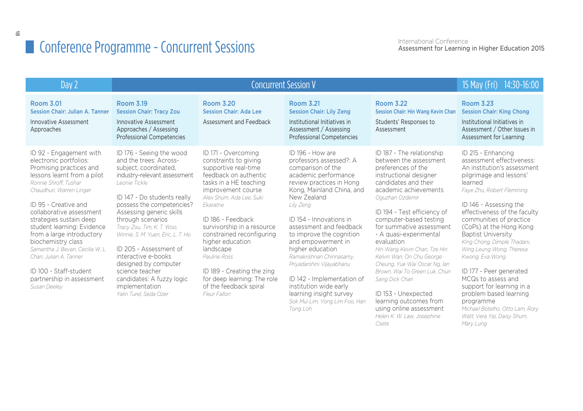| Day 2                                                                                                                                                                                                                                                                                                                                                                                                                                                                 | <b>Concurrent Session V</b>                                                                                                                                                                                                                                                                                                                                                                                                                                                         |                                                                                                                                                                                                                                                                                                                                                                                                                               |                                                                                                                                                                                                                                                                                                                                                                                                                                                                                                     |                                                                                                                                                                                                                                                                                                                                                                                                                                                                                                                                                                          | 15 May (Fri) 14:30-16:00                                                                                                                                                                                                                                                                                                                                                                                                                                                                                                                                                          |
|-----------------------------------------------------------------------------------------------------------------------------------------------------------------------------------------------------------------------------------------------------------------------------------------------------------------------------------------------------------------------------------------------------------------------------------------------------------------------|-------------------------------------------------------------------------------------------------------------------------------------------------------------------------------------------------------------------------------------------------------------------------------------------------------------------------------------------------------------------------------------------------------------------------------------------------------------------------------------|-------------------------------------------------------------------------------------------------------------------------------------------------------------------------------------------------------------------------------------------------------------------------------------------------------------------------------------------------------------------------------------------------------------------------------|-----------------------------------------------------------------------------------------------------------------------------------------------------------------------------------------------------------------------------------------------------------------------------------------------------------------------------------------------------------------------------------------------------------------------------------------------------------------------------------------------------|--------------------------------------------------------------------------------------------------------------------------------------------------------------------------------------------------------------------------------------------------------------------------------------------------------------------------------------------------------------------------------------------------------------------------------------------------------------------------------------------------------------------------------------------------------------------------|-----------------------------------------------------------------------------------------------------------------------------------------------------------------------------------------------------------------------------------------------------------------------------------------------------------------------------------------------------------------------------------------------------------------------------------------------------------------------------------------------------------------------------------------------------------------------------------|
| <b>Room 3.01</b><br><b>Session Chair: Julian A. Tanner</b><br><b>Innovative Assessment</b><br>Approaches                                                                                                                                                                                                                                                                                                                                                              | Room 3.19<br><b>Session Chair: Tracy Zou</b><br>Innovative Assessment<br>Approaches / Assessing<br><b>Professional Competencies</b>                                                                                                                                                                                                                                                                                                                                                 | <b>Room 3.20</b><br><b>Session Chair: Ada Lee</b><br>Assessment and Feedback                                                                                                                                                                                                                                                                                                                                                  | <b>Room 3.21</b><br><b>Session Chair: Lily Zeng</b><br>Institutional Initiatives in<br>Assessment / Assessing<br><b>Professional Competencies</b>                                                                                                                                                                                                                                                                                                                                                   | <b>Room 3.22</b><br><b>Session Chair: Hin Wang Kevin Chan</b><br>Students' Responses to<br>Assessment                                                                                                                                                                                                                                                                                                                                                                                                                                                                    | <b>Room 3.23</b><br><b>Session Chair: King Chong</b><br>Institutional Initiatives in<br>Assessment / Other Issues in<br>Assessment for Learning                                                                                                                                                                                                                                                                                                                                                                                                                                   |
| ID 92 - Engagement with<br>electronic portfolios:<br>Promising practices and<br>lessons learnt from a pilot<br>Ronnie Shroff. Tushar<br>Chaudhuri, Warren Linger<br>ID 95 - Creative and<br>collaborative assessment<br>strategies sustain deep<br>student learning: Evidence<br>from a large introductory<br>biochemistry class<br>Samantha J. Bevan, Cecilia W. L.<br>Chan, Julian A. Tanner<br>ID 100 - Staff-student<br>partnership in assessment<br>Susan Deeley | ID 176 - Seeing the wood<br>and the trees: Across-<br>subject, coordinated,<br>industry-relevant assessment<br>I eonie Tickle<br>ID 147 - Do students really<br>possess the competencies?<br>Assessing generic skills<br>through scenarios<br>Tracy Zou, Tim, K. T. Woo,<br>Winnie, S. M. Yuen, Eric, L. T. Ho<br>ID 205 - Assessment of<br>interactive e-books<br>designed by computer<br>science teacher<br>candidates: A fuzzy logic<br>implementation<br>Yalın Turel, Seda Ozer | ID 171 - Overcoming<br>constraints to giving<br>supportive real-time<br>feedback on authentic<br>tasks in a HE teaching<br>improvement course<br>Alex Shum, Ada Lee, Suki<br>Ekaratne<br>ID 186 - Feedback<br>survivorship in a resource<br>constrained reconfiguring<br>higher education<br>landscape<br>Pauline Ross<br>ID 189 - Creating the zing<br>for deep learning: The role<br>of the feedback spiral<br>Fleur Fallon | ID 196 - How are<br>professors assessed?: A<br>comparison of the<br>academic performance<br>review practices in Hong<br>Kong, Mainland China, and<br>New Zealand<br>Lily Zeng<br>ID 154 - Innovations in<br>assessment and feedback<br>to improve the cognition<br>and empowerment in<br>higher education<br>Ramakrishnan Chinnasamy,<br>Priyadarshini Vijayabhanu<br>ID 142 - Implementation of<br>institution wide early<br>learning insight survey<br>Sok Mui Lim, Yong Lim Foo, Han<br>Tong Loh | ID 187 - The relationship<br>between the assessment<br>preferences of the<br>instructional designer<br>candidates and their<br>academic achievements<br>Oquzhan Ozdemir<br>ID 194 - Test efficiency of<br>computer-based testing<br>for summative assessment<br>- A quasi-experimental<br>evaluation<br>Hin Wang Kevin Chan, Tze Hin<br>Kelvin Wan, On Chu George<br>Cheung, Yue Wai Oscar Ng, Ian<br>Brown, Wai To Green Luk, Chun<br>Sang Dick Chan<br>ID 153 - Unexpected<br>learning outcomes from<br>using online assessment<br>Helen K. W. Law, Josephine<br>Csete | ID 215 - Enhancing<br>assessment effectiveness:<br>An institution's assessment<br>pilgrimage and lessons'<br>learned<br>Faye Zhu, Robert Flemining<br>ID 146 - Assessing the<br>effectiveness of the faculty<br>communities of practice<br>(CoPs) at the Hong Kong<br><b>Baptist University</b><br>King Chong, Dimple Thadani,<br>Wing Leung Wong, Theresa<br>Kwong, Eva Wong<br>ID 177 - Peer generated<br>MCQs to assess and<br>support for learning in a<br>problem based learning<br>programme<br>Michael Botelho, Otto Lam, Rory<br>Watt, Vera Yip, Daisy Shum,<br>Mary Lung |